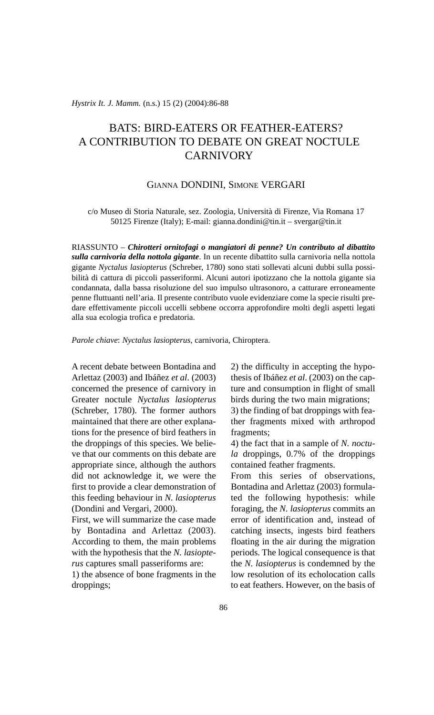*Hystrix It. J. Mamm.* (n.s.) 15 (2) (2004):86-88

## BATS: BIRD-EATERS OR FEATHER-EATERS? A CONTRIBUTION TO DEBATE ON GREAT NOCTULE **CARNIVORY**

## GIANNA DONDINI, SIMONE VERGARI

c/o Museo di Storia Naturale, sez. Zoologia, Università di Firenze, Via Romana 17 50125 Firenze (Italy); E-mail: gianna.dondini@tin.it – svergar@tin.it

RIASSUNTO – *Chirotteri ornitofagi o mangiatori di penne? Un contributo al dibattito sulla carnivoria della nottola gigante*. In un recente dibattito sulla carnivoria nella nottola gigante *Nyctalus lasiopterus* (Schreber, 1780) sono stati sollevati alcuni dubbi sulla possibilità di cattura di piccoli passeriformi. Alcuni autori ipotizzano che la nottola gigante sia condannata, dalla bassa risoluzione del suo impulso ultrasonoro, a catturare erroneamente penne fluttuanti nell'aria. Il presente contributo vuole evidenziare come la specie risulti predare effettivamente piccoli uccelli sebbene occorra approfondire molti degli aspetti legati alla sua ecologia trofica e predatoria.

*Parole chiave*: *Nyctalus lasiopterus*, carnivoria, Chiroptera.

A recent debate between Bontadina and Arlettaz (2003) and Ibáñez *et al*. (2003) concerned the presence of carnivory in Greater noctule *Nyctalus lasiopterus* (Schreber, 1780). The former authors maintained that there are other explanations for the presence of bird feathers in the droppings of this species. We believe that our comments on this debate are appropriate since, although the authors did not acknowledge it, we were the first to provide a clear demonstration of this feeding behaviour in *N. lasiopterus* (Dondini and Vergari, 2000).

First, we will summarize the case made by Bontadina and Arlettaz (2003). According to them, the main problems with the hypothesis that the *N. lasiopterus* captures small passeriforms are:

1) the absence of bone fragments in the droppings;

2) the difficulty in accepting the hypothesis of Ibáñez *et al*. (2003) on the capture and consumption in flight of small birds during the two main migrations; 3) the finding of bat droppings with feather fragments mixed with arthropod fragments;

4) the fact that in a sample of *N. noctula* droppings, 0.7% of the droppings contained feather fragments.

From this series of observations, Bontadina and Arlettaz (2003) formulated the following hypothesis: while foraging, the *N. lasiopterus* commits an error of identification and, instead of catching insects, ingests bird feathers floating in the air during the migration periods. The logical consequence is that the *N. lasiopterus* is condemned by the low resolution of its echolocation calls to eat feathers. However, on the basis of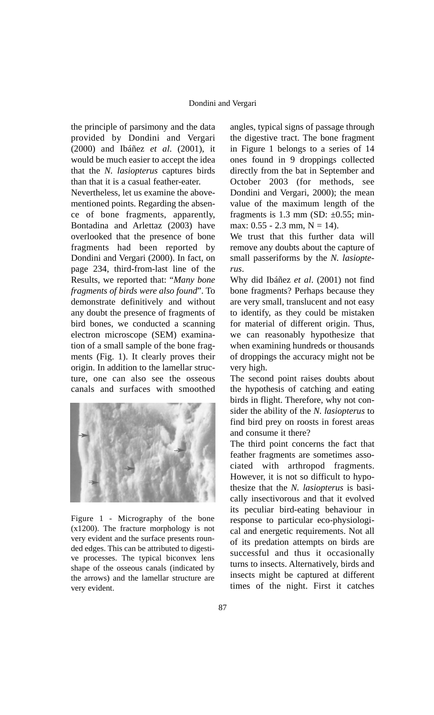the principle of parsimony and the data provided by Dondini and Vergari (2000) and Ibáñez *et al*. (2001), it would be much easier to accept the idea that the *N. lasiopterus* captures birds than that it is a casual feather-eater.

Nevertheless, let us examine the abovementioned points. Regarding the absence of bone fragments, apparently, Bontadina and Arlettaz (2003) have overlooked that the presence of bone fragments had been reported by Dondini and Vergari (2000). In fact, on page 234, third-from-last line of the Results, we reported that: "*Many bone fragments of birds were also found*". To demonstrate definitively and without any doubt the presence of fragments of bird bones, we conducted a scanning electron microscope (SEM) examination of a small sample of the bone fragments (Fig. 1). It clearly proves their origin. In addition to the lamellar structure, one can also see the osseous canals and surfaces with smoothed



Figure 1 - Micrography of the bone (x1200). The fracture morphology is not very evident and the surface presents rounded edges. This can be attributed to digestive processes. The typical biconvex lens shape of the osseous canals (indicated by the arrows) and the lamellar structure are very evident.

angles, typical signs of passage through the digestive tract. The bone fragment in Figure 1 belongs to a series of 14 ones found in 9 droppings collected directly from the bat in September and October 2003 (for methods, see Dondini and Vergari, 2000); the mean value of the maximum length of the fragments is 1.3 mm (SD:  $\pm$ 0.55; minmax:  $0.55 - 2.3$  mm,  $N = 14$ ).

We trust that this further data will remove any doubts about the capture of small passeriforms by the *N. lasiopterus*.

Why did Ibáñez *et al*. (2001) not find bone fragments? Perhaps because they are very small, translucent and not easy to identify, as they could be mistaken for material of different origin. Thus, we can reasonably hypothesize that when examining hundreds or thousands of droppings the accuracy might not be very high.

The second point raises doubts about the hypothesis of catching and eating birds in flight. Therefore, why not consider the ability of the *N. lasiopterus* to find bird prey on roosts in forest areas and consume it there?

The third point concerns the fact that feather fragments are sometimes associated with arthropod fragments. However, it is not so difficult to hypothesize that the *N. lasiopterus* is basically insectivorous and that it evolved its peculiar bird-eating behaviour in response to particular eco-physiological and energetic requirements. Not all of its predation attempts on birds are successful and thus it occasionally turns to insects. Alternatively, birds and insects might be captured at different times of the night. First it catches